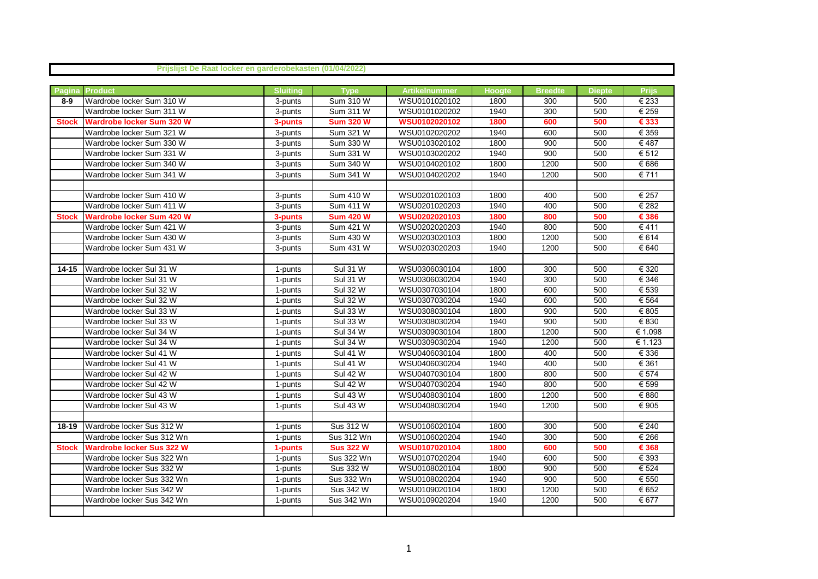|              | Prijslijst De Raat locker en garderobekasten (01/04/2022) |                       |                  |               |               |                |        |                           |
|--------------|-----------------------------------------------------------|-----------------------|------------------|---------------|---------------|----------------|--------|---------------------------|
|              |                                                           |                       |                  |               |               |                |        |                           |
| Pagina       | <b>Product</b>                                            | <b>Sluiting</b>       | <b>Type</b>      | Artikelnummer | <b>Hoogte</b> | <b>Breedte</b> | Diepte | <b>Prijs</b>              |
| $8-9$        | Wardrobe locker Sum 310 W                                 | 3-punts               | Sum 310 W        | WSU0101020102 | 1800          | 300            | 500    | € 233                     |
|              | Wardrobe locker Sum 311 W                                 | 3-punts               | Sum 311 W        | WSU0101020202 | 1940          | 300            | 500    | € 259                     |
| <b>Stock</b> | <b>Wardrobe locker Sum 320 W</b>                          | 3-punts               | <b>Sum 320 W</b> | WSU0102020102 | 1800          | 600            | 500    | € 333                     |
|              | Wardrobe locker Sum 321 W                                 | 3-punts               | Sum 321 W        | WSU0102020202 | 1940          | 600            | 500    | $\overline{\epsilon}$ 359 |
|              | Wardrobe locker Sum 330 W                                 | 3-punts               | Sum 330 W        | WSU0103020102 | 1800          | 900            | 500    | €487                      |
|              | Wardrobe locker Sum 331 W                                 | 3-punts               | Sum 331 W        | WSU0103020202 | 1940          | 900            | 500    | € 512                     |
|              | Wardrobe locker Sum 340 W                                 | 3-punts               | Sum 340 W        | WSU0104020102 | 1800          | 1200           | 500    | € 686                     |
|              | Wardrobe locker Sum 341 W                                 | 3-punts               | Sum 341 W        | WSU0104020202 | 1940          | 1200           | 500    | € 711                     |
|              |                                                           |                       |                  |               |               |                |        |                           |
|              | Wardrobe locker Sum 410 W                                 | 3-punts               | <b>Sum 410 W</b> | WSU0201020103 | 1800          | 400            | 500    | € 257                     |
|              | Wardrobe locker Sum 411 W                                 | 3-punts               | Sum 411 W        | WSU0201020203 | 1940          | 400            | 500    | € 282                     |
| <b>Stock</b> | <b>Wardrobe locker Sum 420 W</b>                          | 3-punts               | <b>Sum 420 W</b> | WSU0202020103 | 1800          | 800            | 500    | € 386                     |
|              | Wardrobe locker Sum 421 W                                 | 3-punts               | Sum 421 W        | WSU0202020203 | 1940          | 800            | 500    | €411                      |
|              | Wardrobe locker Sum 430 W                                 | 3-punts               | Sum 430 W        | WSU0203020103 | 1800          | 1200           | 500    | € 614                     |
|              | Wardrobe locker Sum 431 W                                 | 3-punts               | Sum 431 W        | WSU0203020203 | 1940          | 1200           | 500    | € 640                     |
|              |                                                           |                       |                  |               |               |                |        |                           |
| 14-15        | Wardrobe locker Sul 31 W                                  | 1-punts               | <b>Sul 31 W</b>  | WSU0306030104 | 1800          | 300            | 500    | € 320                     |
|              | Wardrobe locker Sul 31 W                                  | 1-punts               | <b>Sul 31 W</b>  | WSU0306030204 | 1940          | 300            | 500    | € 346                     |
|              | Wardrobe locker Sul 32 W                                  | 1-punts               | <b>Sul 32 W</b>  | WSU0307030104 | 1800          | 600            | 500    | € 539                     |
|              | Wardrobe locker Sul 32 W                                  | 1-punts               | <b>Sul 32 W</b>  | WSU0307030204 | 1940          | 600            | 500    | € 564                     |
|              | Wardrobe locker Sul 33 W                                  | 1-punts               | <b>Sul 33 W</b>  | WSU0308030104 | 1800          | 900            | 500    | $\overline{\epsilon}$ 805 |
|              | Wardrobe locker Sul 33 W                                  | 1-punts               | <b>Sul 33 W</b>  | WSU0308030204 | 1940          | 900            | 500    | € 830                     |
|              | Wardrobe locker Sul 34 W                                  | 1-punts               | <b>Sul 34 W</b>  | WSU0309030104 | 1800          | 1200           | 500    | € 1.098                   |
|              | Wardrobe locker Sul 34 W                                  | $\overline{1}$ -punts | <b>Sul 34 W</b>  | WSU0309030204 | 1940          | 1200           | 500    | € 1.123                   |
|              | Wardrobe locker Sul 41 W                                  | 1-punts               | <b>Sul 41 W</b>  | WSU0406030104 | 1800          | 400            | 500    | € 336                     |
|              | Wardrobe locker Sul 41 W                                  | 1-punts               | <b>Sul 41 W</b>  | WSU0406030204 | 1940          | 400            | 500    | € 361                     |
|              | Wardrobe locker Sul 42 W                                  | 1-punts               | <b>Sul 42 W</b>  | WSU0407030104 | 1800          | 800            | 500    | € 574                     |
|              | Wardrobe locker Sul 42 W                                  | 1-punts               | <b>Sul 42 W</b>  | WSU0407030204 | 1940          | 800            | 500    | € 599                     |
|              | Wardrobe locker Sul 43 W                                  | 1-punts               | <b>Sul 43 W</b>  | WSU0408030104 | 1800          | 1200           | 500    | € 880                     |
|              | Wardrobe locker Sul 43 W                                  | 1-punts               | <b>Sul 43 W</b>  | WSU0408030204 | 1940          | 1200           | 500    | € 905                     |
|              |                                                           |                       |                  |               |               |                |        |                           |
| 18-19        | Wardrobe locker Sus 312 W                                 | 1-punts               | Sus 312 W        | WSU0106020104 | 1800          | 300            | 500    | € 240                     |
|              | Wardrobe locker Sus 312 Wn                                | 1-punts               | Sus 312 Wn       | WSU0106020204 | 1940          | 300            | 500    | € 266                     |
| <b>Stock</b> | <b>Wardrobe locker Sus 322 W</b>                          | 1-punts               | <b>Sus 322 W</b> | WSU0107020104 | 1800          | 600            | 500    | € 368                     |
|              | Wardrobe locker Sus 322 Wn                                | 1-punts               | Sus 322 Wn       | WSU0107020204 | 1940          | 600            | 500    | € 393                     |
|              | Wardrobe locker Sus 332 W                                 | 1-punts               | Sus 332 W        | WSU0108020104 | 1800          | 900            | 500    | € 524                     |
|              | Wardrobe locker Sus 332 Wn                                | 1-punts               | Sus 332 Wn       | WSU0108020204 | 1940          | 900            | 500    | € 550                     |
|              | Wardrobe locker Sus 342 W                                 | 1-punts               | Sus 342 W        | WSU0109020104 | 1800          | 1200           | 500    | € 652                     |
|              | Wardrobe locker Sus 342 Wn                                | 1-punts               | Sus 342 Wn       | WSU0109020204 | 1940          | 1200           | 500    | € 677                     |
|              |                                                           |                       |                  |               |               |                |        |                           |
|              |                                                           |                       |                  |               |               |                |        |                           |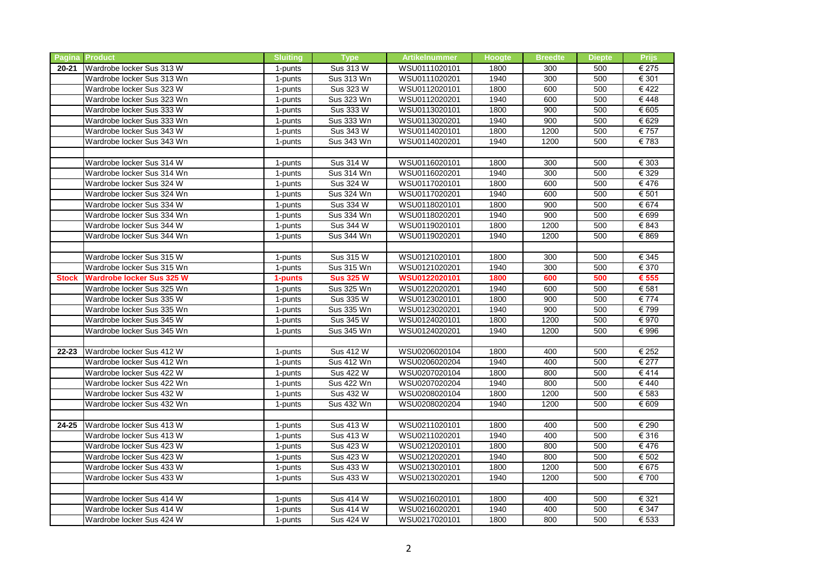| <b>Pagina</b> | <b>Product</b>             | <b>Sluiting</b> | <b>Type</b>       | Artikelnummer | <b>Hoogte</b> | <b>Breedte</b> | <b>Diepte</b> | <b>Priis</b> |
|---------------|----------------------------|-----------------|-------------------|---------------|---------------|----------------|---------------|--------------|
| $20 - 21$     | Wardrobe locker Sus 313 W  | 1-punts         | Sus 313 W         | WSU0111020101 | 1800          | 300            | 500           | € 275        |
|               | Wardrobe locker Sus 313 Wn | 1-punts         | <b>Sus 313 Wn</b> | WSU0111020201 | 1940          | 300            | 500           | € 301        |
|               | Wardrobe locker Sus 323 W  | 1-punts         | Sus 323 W         | WSU0112020101 | 1800          | 600            | 500           | €422         |
|               | Wardrobe locker Sus 323 Wn | 1-punts         | Sus 323 Wn        | WSU0112020201 | 1940          | 600            | 500           | €448         |
|               | Wardrobe locker Sus 333 W  | 1-punts         | Sus 333 W         | WSU0113020101 | 1800          | 900            | 500           | € 605        |
|               | Wardrobe locker Sus 333 Wn | 1-punts         | Sus 333 Wn        | WSU0113020201 | 1940          | 900            | 500           | € 629        |
|               | Wardrobe locker Sus 343 W  | 1-punts         | Sus 343 W         | WSU0114020101 | 1800          | 1200           | 500           | € 757        |
|               | Wardrobe locker Sus 343 Wn | 1-punts         | Sus 343 Wn        | WSU0114020201 | 1940          | 1200           | 500           | €783         |
|               |                            |                 |                   |               |               |                |               |              |
|               | Wardrobe locker Sus 314 W  | 1-punts         | Sus 314 W         | WSU0116020101 | 1800          | 300            | 500           | € 303        |
|               | Wardrobe locker Sus 314 Wn | 1-punts         | <b>Sus 314 Wn</b> | WSU0116020201 | 1940          | 300            | 500           | € 329        |
|               | Wardrobe locker Sus 324 W  | 1-punts         | Sus 324 W         | WSU0117020101 | 1800          | 600            | 500           | €476         |
|               | Wardrobe locker Sus 324 Wn | 1-punts         | Sus 324 Wn        | WSU0117020201 | 1940          | 600            | 500           | € 501        |
|               | Wardrobe locker Sus 334 W  | 1-punts         | Sus 334 W         | WSU0118020101 | 1800          | 900            | 500           | € 674        |
|               | Wardrobe locker Sus 334 Wn | 1-punts         | Sus 334 Wn        | WSU0118020201 | 1940          | 900            | 500           | € 699        |
|               | Wardrobe locker Sus 344 W  | 1-punts         | Sus 344 W         | WSU0119020101 | 1800          | 1200           | 500           | € 843        |
|               | Wardrobe locker Sus 344 Wn | 1-punts         | <b>Sus 344 Wn</b> | WSU0119020201 | 1940          | 1200           | 500           | € 869        |
|               |                            |                 |                   |               |               |                |               |              |
|               | Wardrobe locker Sus 315 W  | 1-punts         | Sus 315 W         | WSU0121020101 | 1800          | 300            | 500           | € 345        |
|               | Wardrobe locker Sus 315 Wn | 1-punts         | Sus 315 Wn        | WSU0121020201 | 1940          | 300            | 500           | € 370        |
| <b>Stock</b>  | Wardrobe locker Sus 325 W  | 1-punts         | <b>Sus 325 W</b>  | WSU0122020101 | 1800          | 600            | 500           | € 555        |
|               | Wardrobe locker Sus 325 Wn | 1-punts         | Sus 325 Wn        | WSU0122020201 | 1940          | 600            | 500           | € 581        |
|               | Wardrobe locker Sus 335 W  | 1-punts         | Sus 335 W         | WSU0123020101 | 1800          | 900            | 500           | € 774        |
|               | Wardrobe locker Sus 335 Wn | 1-punts         | Sus 335 Wn        | WSU0123020201 | 1940          | 900            | 500           | € 799        |
|               | Wardrobe locker Sus 345 W  | 1-punts         | Sus 345 W         | WSU0124020101 | 1800          | 1200           | 500           | € 970        |
|               | Wardrobe locker Sus 345 Wn | 1-punts         | Sus 345 Wn        | WSU0124020201 | 1940          | 1200           | 500           | € 996        |
|               |                            |                 |                   |               |               |                |               |              |
| $22 - 23$     | Wardrobe locker Sus 412 W  | 1-punts         | Sus 412 W         | WSU0206020104 | 1800          | 400            | 500           | € 252        |
|               | Wardrobe locker Sus 412 Wn | 1-punts         | <b>Sus 412 Wn</b> | WSU0206020204 | 1940          | 400            | 500           | € 277        |
|               | Wardrobe locker Sus 422 W  | 1-punts         | Sus 422 W         | WSU0207020104 | 1800          | 800            | 500           | €414         |
|               | Wardrobe locker Sus 422 Wn | 1-punts         | <b>Sus 422 Wn</b> | WSU0207020204 | 1940          | 800            | 500           | €440         |
|               | Wardrobe locker Sus 432 W  | 1-punts         | Sus 432 W         | WSU0208020104 | 1800          | 1200           | 500           | € 583        |
|               | Wardrobe locker Sus 432 Wn | 1-punts         | <b>Sus 432 Wn</b> | WSU0208020204 | 1940          | 1200           | 500           | € 609        |
|               |                            |                 |                   |               |               |                |               |              |
| 24-25         | Wardrobe locker Sus 413 W  | 1-punts         | Sus 413 W         | WSU0211020101 | 1800          | 400            | 500           | € 290        |
|               | Wardrobe locker Sus 413 W  | 1-punts         | Sus 413 W         | WSU0211020201 | 1940          | 400            | 500           | € 316        |
|               | Wardrobe locker Sus 423 W  | 1-punts         | Sus 423 W         | WSU0212020101 | 1800          | 800            | 500           | €476         |
|               | Wardrobe locker Sus 423 W  | 1-punts         | Sus 423 W         | WSU0212020201 | 1940          | 800            | 500           | € 502        |
|               | Wardrobe locker Sus 433 W  | 1-punts         | Sus 433 W         | WSU0213020101 | 1800          | 1200           | 500           | € 675        |
|               | Wardrobe locker Sus 433 W  | 1-punts         | Sus 433 W         | WSU0213020201 | 1940          | 1200           | 500           | € 700        |
|               |                            |                 |                   |               |               |                |               |              |
|               | Wardrobe locker Sus 414 W  | 1-punts         | Sus 414 W         | WSU0216020101 | 1800          | 400            | 500           | € 321        |
|               | Wardrobe locker Sus 414 W  | 1-punts         | Sus 414 W         | WSU0216020201 | 1940          | 400            | 500           | € 347        |
|               | Wardrobe locker Sus 424 W  | 1-punts         | Sus 424 W         | WSU0217020101 | 1800          | 800            | 500           | € 533        |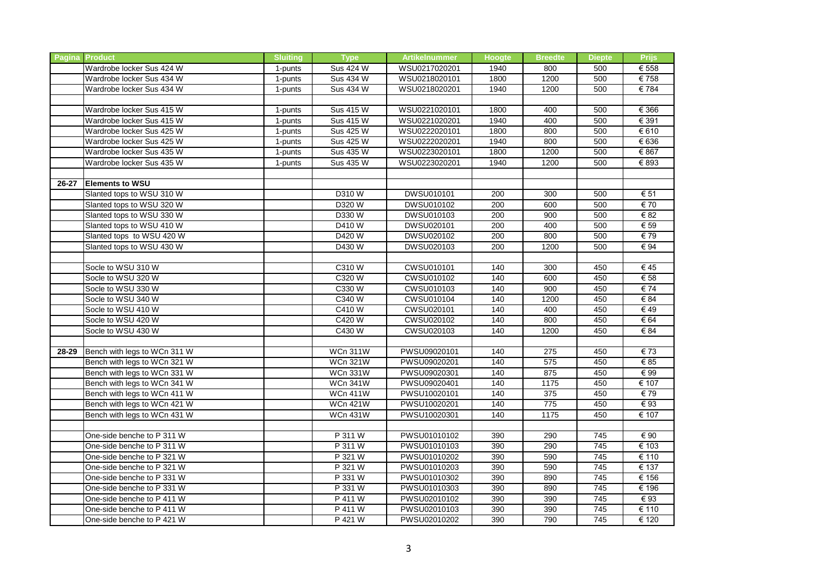|           | <b>Pagina Product</b>        | <b>Sluiting</b> | <b>Type</b>     | <b>Artikelnummer</b> | <b>Hoogte</b> | <b>Breedte</b>   | <b>Diepte</b>    | <b>Prijs</b>             |
|-----------|------------------------------|-----------------|-----------------|----------------------|---------------|------------------|------------------|--------------------------|
|           | Wardrobe locker Sus 424 W    | 1-punts         | Sus 424 W       | WSU0217020201        | 1940          | 800              | 500              | € 558                    |
|           | Wardrobe locker Sus 434 W    | 1-punts         | Sus 434 W       | WSU0218020101        | 1800          | 1200             | 500              | €758                     |
|           | Wardrobe locker Sus 434 W    | 1-punts         | Sus 434 W       | WSU0218020201        | 1940          | 1200             | 500              | €784                     |
|           |                              |                 |                 |                      |               |                  |                  |                          |
|           | Wardrobe locker Sus 415 W    | 1-punts         | Sus 415 W       | WSU0221020101        | 1800          | 400              | 500              | € 366                    |
|           | Wardrobe locker Sus 415 W    | 1-punts         | Sus 415 W       | WSU0221020201        | 1940          | 400              | 500              | € 391                    |
|           | Wardrobe locker Sus 425 W    | 1-punts         | Sus 425 W       | WSU0222020101        | 1800          | 800              | 500              | € 610                    |
|           | Wardrobe locker Sus 425 W    | 1-punts         | Sus 425 W       | WSU0222020201        | 1940          | 800              | 500              | € 636                    |
|           | Wardrobe locker Sus 435 W    | 1-punts         | Sus 435 W       | WSU0223020101        | 1800          | 1200             | 500              | € 867                    |
|           | Wardrobe locker Sus 435 W    | 1-punts         | Sus 435 W       | WSU0223020201        | 1940          | 1200             | 500              | € 893                    |
|           |                              |                 |                 |                      |               |                  |                  |                          |
| $26 - 27$ | <b>Elements to WSU</b>       |                 |                 |                      |               |                  |                  |                          |
|           | Slanted tops to WSU 310 W    |                 | D310 W          | DWSU010101           | 200           | 300              | 500              | € 51                     |
|           | Slanted tops to WSU 320 W    |                 | D320 W          | <b>DWSU010102</b>    | 200           | 600              | 500              | € 70                     |
|           | Slanted tops to WSU 330 W    |                 | D330 W          | DWSU010103           | 200           | 900              | 500              | € 82                     |
|           | Slanted tops to WSU 410 W    |                 | D410 W          | DWSU020101           | 200           | 400              | 500              | € 59                     |
|           | Slanted tops to WSU 420 W    |                 | D420 W          | DWSU020102           | 200           | 800              | 500              | €79                      |
|           | Slanted tops to WSU 430 W    |                 | D430 W          | DWSU020103           | 200           | 1200             | 500              | € 94                     |
|           |                              |                 |                 |                      |               |                  |                  |                          |
|           | Socle to WSU 310 W           |                 | C310W           | CWSU010101           | 140           | 300              | 450              | €45                      |
|           | Socle to WSU 320 W           |                 | C320 W          | CWSU010102           | 140           | 600              | 450              | $\overline{\epsilon}$ 58 |
|           | Socle to WSU 330 W           |                 | C330 W          | CWSU010103           | 140           | 900              | 450              | € 74                     |
|           | Socle to WSU 340 W           |                 | C340 W          | <b>CWSU010104</b>    | 140           | 1200             | 450              | € 84                     |
|           | Socle to WSU 410 W           |                 | C410 W          | CWSU020101           | 140           | 400              | 450              | €49                      |
|           | Socle to WSU 420 W           |                 | C420 W          | CWSU020102           | 140           | 800              | 450              | € 64                     |
|           | Socle to WSU 430 W           |                 | C430 W          | <b>CWSU020103</b>    | 140           | 1200             | 450              | € 84                     |
|           |                              |                 |                 |                      |               |                  |                  |                          |
| 28-29     | Bench with legs to WCn 311 W |                 | <b>WCn 311W</b> | PWSU09020101         | 140           | 275              | 450              | €73                      |
|           | Bench with legs to WCn 321 W |                 | <b>WCn 321W</b> | PWSU09020201         | 140           | 575              | 450              | € 85                     |
|           | Bench with legs to WCn 331 W |                 | <b>WCn 331W</b> | PWSU09020301         | 140           | 875              | 450              | € 99                     |
|           | Bench with legs to WCn 341 W |                 | <b>WCn 341W</b> | PWSU09020401         | 140           | $\frac{1}{1175}$ | 450              | € 107                    |
|           | Bench with legs to WCn 411 W |                 | <b>WCn 411W</b> | PWSU10020101         | 140           | 375              | 450              | €79                      |
|           | Bench with legs to WCn 421 W |                 | <b>WCn 421W</b> | PWSU10020201         | 140           | 775              | 450              | €93                      |
|           | Bench with legs to WCn 431 W |                 | <b>WCn 431W</b> | PWSU10020301         | 140           | 1175             | 450              | € 107                    |
|           |                              |                 |                 |                      |               |                  |                  |                          |
|           | One-side benche to P 311 W   |                 | P 311 W         | PWSU01010102         | 390           | 290              | 745              | € 90                     |
|           | One-side benche to P 311 W   |                 | P 311 W         | PWSU01010103         | 390           | 290              | 745              | € 103                    |
|           | One-side benche to P 321 W   |                 | P 321 W         | PWSU01010202         | 390           | 590              | 745              | € 110                    |
|           | One-side benche to P 321 W   |                 | P 321 W         | PWSU01010203         | 390           | 590              | 745              | € 137                    |
|           | One-side benche to P 331 W   |                 | P 331 W         | PWSU01010302         | 390           | 890              | $\overline{745}$ | € 156                    |
|           | One-side benche to P 331 W   |                 | P 331 W         | PWSU01010303         | 390           | 890              | 745              | € 196                    |
|           | One-side benche to P 411 W   |                 | P 411 W         | PWSU02010102         | 390           | 390              | 745              | €93                      |
|           | One-side benche to P 411 W   |                 | P 411 W         | PWSU02010103         | 390           | 390              | 745              | € 110                    |
|           | One-side benche to P 421 W   |                 | P 421 W         | PWSU02010202         | 390           | 790              | 745              | € 120                    |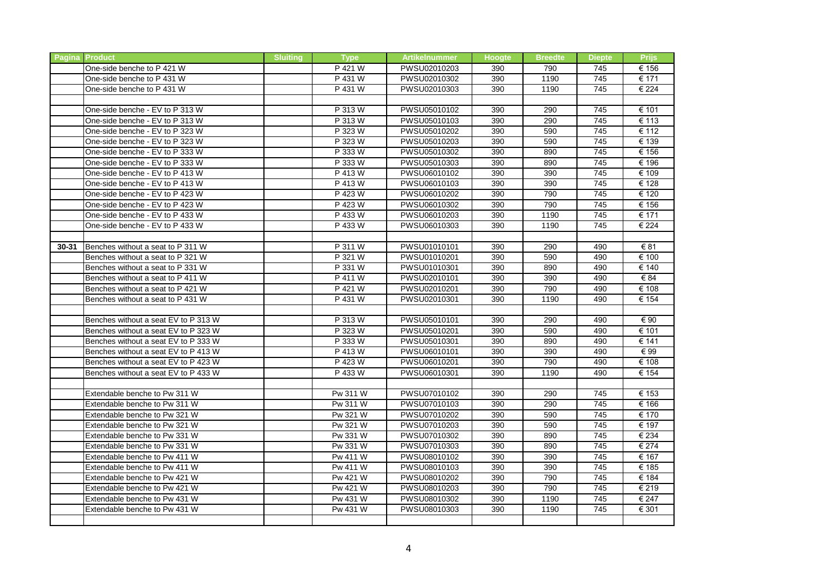|       | <b>Pagina Product</b>                | <b>Sluiting</b> | <b>Type</b> | <b>Artikelnummer</b> | <b>Hoogte</b> | <b>Breedte</b> | <b>Diepte</b> | <b>Prijs</b> |
|-------|--------------------------------------|-----------------|-------------|----------------------|---------------|----------------|---------------|--------------|
|       | One-side benche to P 421 W           |                 | P 421 W     | PWSU02010203         | 390           | 790            | 745           | € 156        |
|       | One-side benche to P 431 W           |                 | P 431 W     | PWSU02010302         | 390           | 1190           | 745           | € 171        |
|       | One-side benche to P 431 W           |                 | P 431 W     | PWSU02010303         | 390           | 1190           | 745           | € 224        |
|       |                                      |                 |             |                      |               |                |               |              |
|       | One-side benche - EV to P 313 W      |                 | P 313 W     | PWSU05010102         | 390           | 290            | 745           | € 101        |
|       | One-side benche - EV to P 313 W      |                 | P 313 W     | PWSU05010103         | 390           | 290            | 745           | € 113        |
|       | One-side benche - EV to P 323 W      |                 | P 323 W     | PWSU05010202         | 390           | 590            | 745           | € 112        |
|       | One-side benche - EV to P 323 W      |                 | P 323 W     | PWSU05010203         | 390           | 590            | 745           | € 139        |
|       | One-side benche - EV to P 333 W      |                 | P 333 W     | PWSU05010302         | 390           | 890            | 745           | € 156        |
|       | One-side benche - EV to P 333 W      |                 | P 333 W     | PWSU05010303         | 390           | 890            | 745           | € 196        |
|       | One-side benche - EV to P 413 W      |                 | P 413 W     | PWSU06010102         | 390           | 390            | 745           | € 109        |
|       | One-side benche - EV to P 413 W      |                 | P 413 W     | PWSU06010103         | 390           | 390            | 745           | € 128        |
|       | One-side benche - EV to P 423 W      |                 | P 423 W     | PWSU06010202         | 390           | 790            | 745           | € 120        |
|       | One-side benche - EV to P 423 W      |                 | P 423 W     | PWSU06010302         | 390           | 790            | 745           | € 156        |
|       | One-side benche - EV to P 433 W      |                 | P 433 W     | PWSU06010203         | 390           | 1190           | 745           | € 171        |
|       | One-side benche - EV to P 433 W      |                 | P 433 W     | PWSU06010303         | 390           | 1190           | 745           | € 224        |
|       |                                      |                 |             |                      |               |                |               |              |
| 30-31 | Benches without a seat to P 311 W    |                 | P 311 W     | PWSU01010101         | 390           | 290            | 490           | € 81         |
|       | Benches without a seat to P 321 W    |                 | P 321 W     | PWSU01010201         | 390           | 590            | 490           | € 100        |
|       | Benches without a seat to P 331 W    |                 | P 331 W     | PWSU01010301         | 390           | 890            | 490           | € 140        |
|       | Benches without a seat to P 411 W    |                 | P 411 W     | PWSU02010101         | 390           | 390            | 490           | € 84         |
|       | Benches without a seat to P 421 W    |                 | P 421 W     | PWSU02010201         | 390           | 790            | 490           | € 108        |
|       | Benches without a seat to P 431 W    |                 | P 431 W     | PWSU02010301         | 390           | 1190           | 490           | € 154        |
|       |                                      |                 |             |                      |               |                |               |              |
|       | Benches without a seat EV to P 313 W |                 | P 313 W     | PWSU05010101         | 390           | 290            | 490           | € 90         |
|       | Benches without a seat EV to P 323 W |                 | P 323 W     | PWSU05010201         | 390           | 590            | 490           | € 101        |
|       | Benches without a seat EV to P 333 W |                 | P 333 W     | PWSU05010301         | 390           | 890            | 490           | € 141        |
|       | Benches without a seat EV to P 413 W |                 | P 413 W     | PWSU06010101         | 390           | 390            | 490           | € 99         |
|       | Benches without a seat EV to P 423 W |                 | P 423 W     | PWSU06010201         | 390           | 790            | 490           | € 108        |
|       | Benches without a seat EV to P 433 W |                 | P 433 W     | PWSU06010301         | 390           | 1190           | 490           | € 154        |
|       |                                      |                 |             |                      |               |                |               |              |
|       | Extendable benche to Pw 311 W        |                 | Pw 311 W    | PWSU07010102         | 390           | 290            | 745           | € 153        |
|       | Extendable benche to Pw 311 W        |                 | Pw 311 W    | PWSU07010103         | 390           | 290            | 745           | € 166        |
|       | Extendable benche to Pw 321 W        |                 | Pw 321 W    | PWSU07010202         | 390           | 590            | 745           | € 170        |
|       | Extendable benche to Pw 321 W        |                 | Pw 321 W    | PWSU07010203         | 390           | 590            | 745           | € 197        |
|       | Extendable benche to Pw 331 W        |                 | Pw 331 W    | PWSU07010302         | 390           | 890            | 745           | € 234        |
|       | Extendable benche to Pw 331 W        |                 | Pw 331 W    | PWSU07010303         | 390           | 890            | 745           | € 274        |
|       | Extendable benche to Pw 411 W        |                 | Pw 411 W    | PWSU08010102         | 390           | 390            | 745           | € 167        |
|       | Extendable benche to Pw 411 W        |                 | Pw 411 W    | PWSU08010103         | 390           | 390            | 745           | € 185        |
|       | Extendable benche to Pw 421 W        |                 | Pw 421 W    | PWSU08010202         | 390           | 790            | 745           | € 184        |
|       | Extendable benche to Pw 421 W        |                 | Pw 421 W    | PWSU08010203         | 390           | 790            | 745           | € 219        |
|       | Extendable benche to Pw 431 W        |                 | Pw 431 W    | PWSU08010302         | 390           | 1190           | 745           | € 247        |
|       | Extendable benche to Pw 431 W        |                 | Pw 431 W    | PWSU08010303         | 390           | 1190           | 745           | € 301        |
|       |                                      |                 |             |                      |               |                |               |              |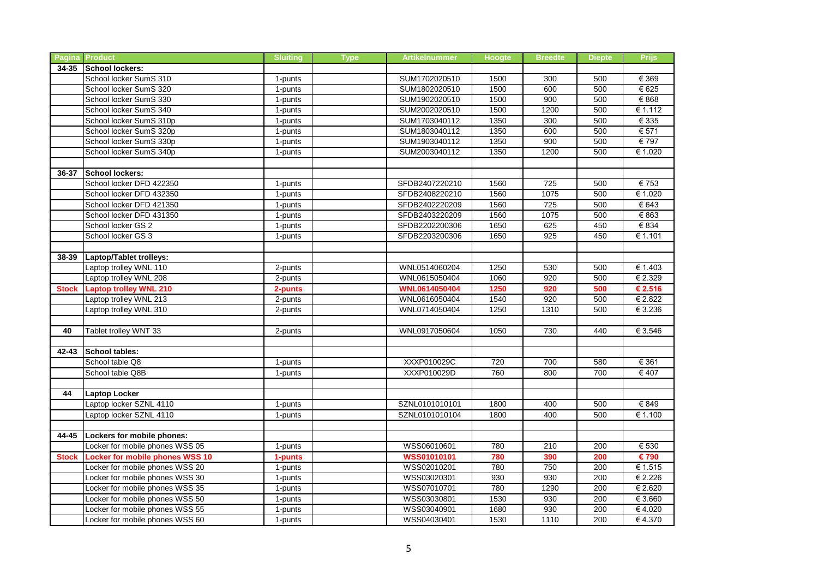|              | <b>Pagina Product</b>                  | <b>Sluiting</b>       | <b>Type</b> | <b>Artikelnummer</b> | <b>Hoogte</b> | <b>Breedte</b> | <b>Diepte</b> | <b>Prijs</b> |
|--------------|----------------------------------------|-----------------------|-------------|----------------------|---------------|----------------|---------------|--------------|
| $34 - 35$    | <b>School lockers:</b>                 |                       |             |                      |               |                |               |              |
|              | School locker SumS 310                 | 1-punts               |             | SUM1702020510        | 1500          | 300            | 500           | € 369        |
|              | School locker SumS 320                 | 1-punts               |             | SUM1802020510        | 1500          | 600            | 500           | € 625        |
|              | School locker SumS 330                 | 1-punts               |             | SUM1902020510        | 1500          | 900            | 500           | € 868        |
|              | School locker SumS 340                 | 1-punts               |             | SUM2002020510        | 1500          | 1200           | 500           | € 1.112      |
|              | School locker SumS 310p                | 1-punts               |             | SUM1703040112        | 1350          | 300            | 500           | € 335        |
|              | School locker SumS 320p                | 1-punts               |             | SUM1803040112        | 1350          | 600            | 500           | € 571        |
|              | School locker SumS 330p                | 1-punts               |             | SUM1903040112        | 1350          | 900            | 500           | € 797        |
|              | School locker SumS 340p                | 1-punts               |             | SUM2003040112        | 1350          | 1200           | 500           | € 1.020      |
|              |                                        |                       |             |                      |               |                |               |              |
| 36-37        | <b>School lockers:</b>                 |                       |             |                      |               |                |               |              |
|              | School locker DFD 422350               | 1-punts               |             | SFDB2407220210       | 1560          | 725            | 500           | € 753        |
|              | School locker DFD 432350               | 1-punts               |             | SFDB2408220210       | 1560          | 1075           | 500           | € 1.020      |
|              | School locker DFD 421350               | 1-punts               |             | SFDB2402220209       | 1560          | 725            | 500           | € 643        |
|              | School locker DFD 431350               | 1-punts               |             | SFDB2403220209       | 1560          | 1075           | 500           | € 863        |
|              | School locker GS 2                     | 1-punts               |             | SFDB2202200306       | 1650          | 625            | 450           | € 834        |
|              | School locker GS 3                     | 1-punts               |             | SFDB2203200306       | 1650          | 925            | 450           | € 1.101      |
|              |                                        |                       |             |                      |               |                |               |              |
| 38-39        | Laptop/Tablet trolleys:                |                       |             |                      |               |                |               |              |
|              | Laptop trolley WNL 110                 | 2-punts               |             | WNL0514060204        | 1250          | 530            | 500           | € 1.403      |
|              | Laptop trolley WNL 208                 | 2-punts               |             | WNL0615050404        | 1060          | 920            | 500           | € 2.329      |
| <b>Stock</b> | <b>Laptop trolley WNL 210</b>          | 2-punts               |             | WNL0614050404        | 1250          | 920            | 500           | € 2.516      |
|              | Laptop trolley WNL 213                 | 2-punts               |             | WNL0616050404        | 1540          | 920            | 500           | € 2.822      |
|              | Laptop trolley WNL 310                 | 2-punts               |             | WNL0714050404        | 1250          | 1310           | 500           | € 3.236      |
|              |                                        |                       |             |                      |               |                |               |              |
| 40           | Tablet trolley WNT 33                  | 2-punts               |             | WNL0917050604        | 1050          | 730            | 440           | € 3.546      |
|              |                                        |                       |             |                      |               |                |               |              |
| 42-43        | <b>School tables:</b>                  |                       |             |                      |               |                |               |              |
|              | School table Q8                        | 1-punts               |             | XXXP010029C          | 720           | 700            | 580           | € 361        |
|              | School table Q8B                       | 1-punts               |             | XXXP010029D          | 760           | 800            | 700           | € 407        |
|              |                                        |                       |             |                      |               |                |               |              |
| 44           | <b>Laptop Locker</b>                   |                       |             |                      |               |                |               |              |
|              | Laptop locker SZNL 4110                | 1-punts               |             | SZNL0101010101       | 1800          | 400            | 500           | € 849        |
|              | Laptop locker SZNL 4110                | 1-punts               |             | SZNL0101010104       | 1800          | 400            | 500           | € 1.100      |
|              |                                        |                       |             |                      |               |                |               |              |
| 44-45        | Lockers for mobile phones:             |                       |             |                      |               |                |               |              |
|              | Locker for mobile phones WSS 05        | 1-punts               |             | WSS06010601          | 780           | 210            | 200           | € 530        |
| <b>Stock</b> | <b>Locker for mobile phones WSS 10</b> | 1-punts               |             | <b>WSS01010101</b>   | 780           | 390            | 200           | € 790        |
|              | Locker for mobile phones WSS 20        | 1-punts               |             | WSS02010201          | 780           | 750            | 200           | € 1.515      |
|              | Locker for mobile phones WSS 30        | $1$ -punts            |             | WSS03020301          | 930           | 930            | 200           | € 2.226      |
|              | Locker for mobile phones WSS 35        | 1-punts               |             | WSS07010701          | 780           | 1290           | 200           | € 2.620      |
|              | Locker for mobile phones WSS 50        | $\overline{1}$ -punts |             | WSS03030801          | 1530          | 930            | 200           | € 3.660      |
|              | Locker for mobile phones WSS 55        | 1-punts               |             | WSS03040901          | 1680          | 930            | 200           | €4.020       |
|              | Locker for mobile phones WSS 60        | 1-punts               |             | WSS04030401          | 1530          | 1110           | 200           | €4.370       |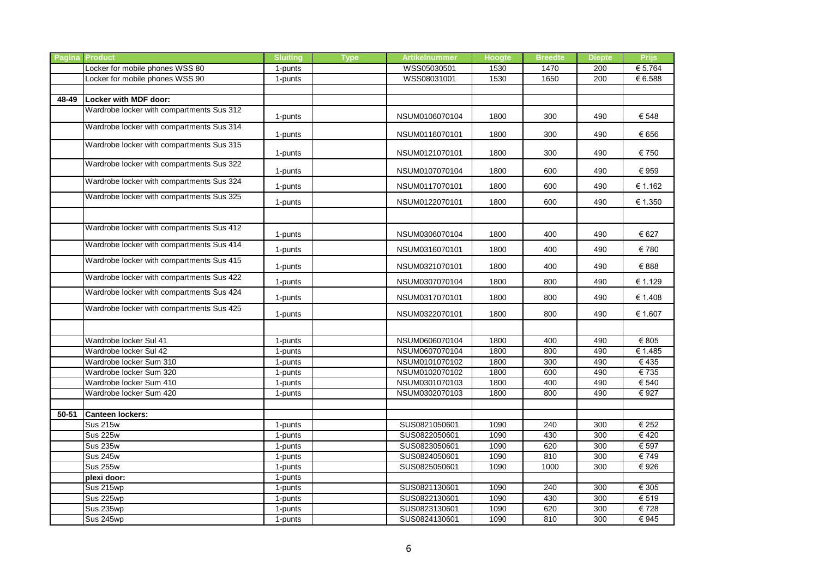| Locker for mobile phones WSS 80<br>WSS05030501<br>€ 5.764<br>1530<br>1470<br>200<br>1-punts<br>Locker for mobile phones WSS 90<br>WSS08031001<br>1530<br>1650<br>200<br>€ 6.588<br>1-punts<br>Locker with MDF door:<br>48-49<br>Wardrobe locker with compartments Sus 312<br>NSUM0106070104<br>1800<br>300<br>490<br>€ 548<br>1-punts<br>Wardrobe locker with compartments Sus 314<br>300<br>€ 656<br>1-punts<br>NSUM0116070101<br>1800<br>490<br>Wardrobe locker with compartments Sus 315<br>€ 750<br>NSUM0121070101<br>1800<br>300<br>490<br>1-punts<br>Wardrobe locker with compartments Sus 322<br>€ 959<br>NSUM0107070104<br>1800<br>600<br>490<br>1-punts<br>Wardrobe locker with compartments Sus 324<br>1-punts<br>NSUM0117070101<br>€ 1.162<br>1800<br>600<br>490<br>Wardrobe locker with compartments Sus 325<br>NSUM0122070101<br>€ 1.350<br>1800<br>600<br>490<br>1-punts<br>Wardrobe locker with compartments Sus 412<br>€ 627<br>NSUM0306070104<br>1800<br>400<br>490<br>1-punts<br>Wardrobe locker with compartments Sus 414<br>€ 780<br>1-punts<br>NSUM0316070101<br>1800<br>400<br>490<br>Wardrobe locker with compartments Sus 415<br>NSUM0321070101<br>€ 888<br>1-punts<br>1800<br>400<br>490<br>Wardrobe locker with compartments Sus 422<br>NSUM0307070104<br>€ 1.129<br>1-punts<br>1800<br>800<br>490<br>Wardrobe locker with compartments Sus 424<br>€ 1.408<br>NSUM0317070101<br>1800<br>800<br>490<br>1-punts<br>Wardrobe locker with compartments Sus 425<br>NSUM0322070101<br>1800<br>€ 1.607<br>1-punts<br>800<br>490<br>NSUM0606070104<br>1800<br>€ 805<br>Wardrobe locker Sul 41<br>1-punts<br>400<br>490<br>NSUM0607070104<br>1800<br>€ 1.485<br>Wardrobe locker Sul 42<br>800<br>490<br>1-punts<br>NSUM0101070102<br>1800<br>Wardrobe locker Sum 310<br>300<br>490<br>€435<br>1-punts<br>NSUM0102070102<br>€735<br>Wardrobe locker Sum 320<br>1800<br>600<br>490<br>1-punts<br>NSUM0301070103<br>1800<br>€ 540<br>Wardrobe locker Sum 410<br>1-punts<br>400<br>490<br>€ 927<br>Wardrobe locker Sum 420<br>NSUM0302070103<br>1800<br>800<br>490<br>1-punts<br>50-51<br><b>Canteen lockers:</b><br><b>Sus 215w</b><br>SUS0821050601<br>240<br>300<br>€ 252<br>1090<br>1-punts<br><b>Sus 225w</b><br>430<br>$\overline{\epsilon$ 420<br>SUS0822050601<br>1090<br>300<br>1-punts<br>€ 597<br><b>Sus 235w</b><br>1-punts<br>SUS0823050601<br>1090<br>620<br>300<br><b>Sus 245w</b><br>SUS0824050601<br>300<br>1090<br>810<br>€749<br>1-punts<br><b>Sus 255w</b><br>SUS0825050601<br>1090<br>1000<br>300<br>€ 926<br>1-punts<br>1-punts<br>plexi door:<br>SUS0821130601<br>Sus 215wp<br>1090<br>240<br>300<br>€ 305<br>1-punts<br>Sus 225wp<br>SUS0822130601<br>1090<br>430<br>300<br>€ 519<br>1-punts<br>€728<br>Sus 235wp<br>SUS0823130601<br>620<br>300<br>1-punts<br>1090<br>Sus 245wp<br>SUS0824130601<br>1090<br>810<br>300<br>€945<br>1-punts | <b>Pagina Product</b> | <b>Sluiting</b> | <b>Type</b> | <b>Artikelnummer</b> | Hoogte | <b>Breedte</b> | <b>Diepte</b> | <b>Prijs</b> |
|---------------------------------------------------------------------------------------------------------------------------------------------------------------------------------------------------------------------------------------------------------------------------------------------------------------------------------------------------------------------------------------------------------------------------------------------------------------------------------------------------------------------------------------------------------------------------------------------------------------------------------------------------------------------------------------------------------------------------------------------------------------------------------------------------------------------------------------------------------------------------------------------------------------------------------------------------------------------------------------------------------------------------------------------------------------------------------------------------------------------------------------------------------------------------------------------------------------------------------------------------------------------------------------------------------------------------------------------------------------------------------------------------------------------------------------------------------------------------------------------------------------------------------------------------------------------------------------------------------------------------------------------------------------------------------------------------------------------------------------------------------------------------------------------------------------------------------------------------------------------------------------------------------------------------------------------------------------------------------------------------------------------------------------------------------------------------------------------------------------------------------------------------------------------------------------------------------------------------------------------------------------------------------------------------------------------------------------------------------------------------------------------------------------------------------------------------------------------------------------------------------------------------------------------------------------------------------------------------------------------------------------------------------------------------------------------------------------------------------------------------------------------------------------------------------------------------------------------------------------------------------|-----------------------|-----------------|-------------|----------------------|--------|----------------|---------------|--------------|
|                                                                                                                                                                                                                                                                                                                                                                                                                                                                                                                                                                                                                                                                                                                                                                                                                                                                                                                                                                                                                                                                                                                                                                                                                                                                                                                                                                                                                                                                                                                                                                                                                                                                                                                                                                                                                                                                                                                                                                                                                                                                                                                                                                                                                                                                                                                                                                                                                                                                                                                                                                                                                                                                                                                                                                                                                                                                                 |                       |                 |             |                      |        |                |               |              |
|                                                                                                                                                                                                                                                                                                                                                                                                                                                                                                                                                                                                                                                                                                                                                                                                                                                                                                                                                                                                                                                                                                                                                                                                                                                                                                                                                                                                                                                                                                                                                                                                                                                                                                                                                                                                                                                                                                                                                                                                                                                                                                                                                                                                                                                                                                                                                                                                                                                                                                                                                                                                                                                                                                                                                                                                                                                                                 |                       |                 |             |                      |        |                |               |              |
|                                                                                                                                                                                                                                                                                                                                                                                                                                                                                                                                                                                                                                                                                                                                                                                                                                                                                                                                                                                                                                                                                                                                                                                                                                                                                                                                                                                                                                                                                                                                                                                                                                                                                                                                                                                                                                                                                                                                                                                                                                                                                                                                                                                                                                                                                                                                                                                                                                                                                                                                                                                                                                                                                                                                                                                                                                                                                 |                       |                 |             |                      |        |                |               |              |
|                                                                                                                                                                                                                                                                                                                                                                                                                                                                                                                                                                                                                                                                                                                                                                                                                                                                                                                                                                                                                                                                                                                                                                                                                                                                                                                                                                                                                                                                                                                                                                                                                                                                                                                                                                                                                                                                                                                                                                                                                                                                                                                                                                                                                                                                                                                                                                                                                                                                                                                                                                                                                                                                                                                                                                                                                                                                                 |                       |                 |             |                      |        |                |               |              |
|                                                                                                                                                                                                                                                                                                                                                                                                                                                                                                                                                                                                                                                                                                                                                                                                                                                                                                                                                                                                                                                                                                                                                                                                                                                                                                                                                                                                                                                                                                                                                                                                                                                                                                                                                                                                                                                                                                                                                                                                                                                                                                                                                                                                                                                                                                                                                                                                                                                                                                                                                                                                                                                                                                                                                                                                                                                                                 |                       |                 |             |                      |        |                |               |              |
|                                                                                                                                                                                                                                                                                                                                                                                                                                                                                                                                                                                                                                                                                                                                                                                                                                                                                                                                                                                                                                                                                                                                                                                                                                                                                                                                                                                                                                                                                                                                                                                                                                                                                                                                                                                                                                                                                                                                                                                                                                                                                                                                                                                                                                                                                                                                                                                                                                                                                                                                                                                                                                                                                                                                                                                                                                                                                 |                       |                 |             |                      |        |                |               |              |
|                                                                                                                                                                                                                                                                                                                                                                                                                                                                                                                                                                                                                                                                                                                                                                                                                                                                                                                                                                                                                                                                                                                                                                                                                                                                                                                                                                                                                                                                                                                                                                                                                                                                                                                                                                                                                                                                                                                                                                                                                                                                                                                                                                                                                                                                                                                                                                                                                                                                                                                                                                                                                                                                                                                                                                                                                                                                                 |                       |                 |             |                      |        |                |               |              |
|                                                                                                                                                                                                                                                                                                                                                                                                                                                                                                                                                                                                                                                                                                                                                                                                                                                                                                                                                                                                                                                                                                                                                                                                                                                                                                                                                                                                                                                                                                                                                                                                                                                                                                                                                                                                                                                                                                                                                                                                                                                                                                                                                                                                                                                                                                                                                                                                                                                                                                                                                                                                                                                                                                                                                                                                                                                                                 |                       |                 |             |                      |        |                |               |              |
|                                                                                                                                                                                                                                                                                                                                                                                                                                                                                                                                                                                                                                                                                                                                                                                                                                                                                                                                                                                                                                                                                                                                                                                                                                                                                                                                                                                                                                                                                                                                                                                                                                                                                                                                                                                                                                                                                                                                                                                                                                                                                                                                                                                                                                                                                                                                                                                                                                                                                                                                                                                                                                                                                                                                                                                                                                                                                 |                       |                 |             |                      |        |                |               |              |
|                                                                                                                                                                                                                                                                                                                                                                                                                                                                                                                                                                                                                                                                                                                                                                                                                                                                                                                                                                                                                                                                                                                                                                                                                                                                                                                                                                                                                                                                                                                                                                                                                                                                                                                                                                                                                                                                                                                                                                                                                                                                                                                                                                                                                                                                                                                                                                                                                                                                                                                                                                                                                                                                                                                                                                                                                                                                                 |                       |                 |             |                      |        |                |               |              |
|                                                                                                                                                                                                                                                                                                                                                                                                                                                                                                                                                                                                                                                                                                                                                                                                                                                                                                                                                                                                                                                                                                                                                                                                                                                                                                                                                                                                                                                                                                                                                                                                                                                                                                                                                                                                                                                                                                                                                                                                                                                                                                                                                                                                                                                                                                                                                                                                                                                                                                                                                                                                                                                                                                                                                                                                                                                                                 |                       |                 |             |                      |        |                |               |              |
|                                                                                                                                                                                                                                                                                                                                                                                                                                                                                                                                                                                                                                                                                                                                                                                                                                                                                                                                                                                                                                                                                                                                                                                                                                                                                                                                                                                                                                                                                                                                                                                                                                                                                                                                                                                                                                                                                                                                                                                                                                                                                                                                                                                                                                                                                                                                                                                                                                                                                                                                                                                                                                                                                                                                                                                                                                                                                 |                       |                 |             |                      |        |                |               |              |
|                                                                                                                                                                                                                                                                                                                                                                                                                                                                                                                                                                                                                                                                                                                                                                                                                                                                                                                                                                                                                                                                                                                                                                                                                                                                                                                                                                                                                                                                                                                                                                                                                                                                                                                                                                                                                                                                                                                                                                                                                                                                                                                                                                                                                                                                                                                                                                                                                                                                                                                                                                                                                                                                                                                                                                                                                                                                                 |                       |                 |             |                      |        |                |               |              |
|                                                                                                                                                                                                                                                                                                                                                                                                                                                                                                                                                                                                                                                                                                                                                                                                                                                                                                                                                                                                                                                                                                                                                                                                                                                                                                                                                                                                                                                                                                                                                                                                                                                                                                                                                                                                                                                                                                                                                                                                                                                                                                                                                                                                                                                                                                                                                                                                                                                                                                                                                                                                                                                                                                                                                                                                                                                                                 |                       |                 |             |                      |        |                |               |              |
|                                                                                                                                                                                                                                                                                                                                                                                                                                                                                                                                                                                                                                                                                                                                                                                                                                                                                                                                                                                                                                                                                                                                                                                                                                                                                                                                                                                                                                                                                                                                                                                                                                                                                                                                                                                                                                                                                                                                                                                                                                                                                                                                                                                                                                                                                                                                                                                                                                                                                                                                                                                                                                                                                                                                                                                                                                                                                 |                       |                 |             |                      |        |                |               |              |
|                                                                                                                                                                                                                                                                                                                                                                                                                                                                                                                                                                                                                                                                                                                                                                                                                                                                                                                                                                                                                                                                                                                                                                                                                                                                                                                                                                                                                                                                                                                                                                                                                                                                                                                                                                                                                                                                                                                                                                                                                                                                                                                                                                                                                                                                                                                                                                                                                                                                                                                                                                                                                                                                                                                                                                                                                                                                                 |                       |                 |             |                      |        |                |               |              |
|                                                                                                                                                                                                                                                                                                                                                                                                                                                                                                                                                                                                                                                                                                                                                                                                                                                                                                                                                                                                                                                                                                                                                                                                                                                                                                                                                                                                                                                                                                                                                                                                                                                                                                                                                                                                                                                                                                                                                                                                                                                                                                                                                                                                                                                                                                                                                                                                                                                                                                                                                                                                                                                                                                                                                                                                                                                                                 |                       |                 |             |                      |        |                |               |              |
|                                                                                                                                                                                                                                                                                                                                                                                                                                                                                                                                                                                                                                                                                                                                                                                                                                                                                                                                                                                                                                                                                                                                                                                                                                                                                                                                                                                                                                                                                                                                                                                                                                                                                                                                                                                                                                                                                                                                                                                                                                                                                                                                                                                                                                                                                                                                                                                                                                                                                                                                                                                                                                                                                                                                                                                                                                                                                 |                       |                 |             |                      |        |                |               |              |
|                                                                                                                                                                                                                                                                                                                                                                                                                                                                                                                                                                                                                                                                                                                                                                                                                                                                                                                                                                                                                                                                                                                                                                                                                                                                                                                                                                                                                                                                                                                                                                                                                                                                                                                                                                                                                                                                                                                                                                                                                                                                                                                                                                                                                                                                                                                                                                                                                                                                                                                                                                                                                                                                                                                                                                                                                                                                                 |                       |                 |             |                      |        |                |               |              |
|                                                                                                                                                                                                                                                                                                                                                                                                                                                                                                                                                                                                                                                                                                                                                                                                                                                                                                                                                                                                                                                                                                                                                                                                                                                                                                                                                                                                                                                                                                                                                                                                                                                                                                                                                                                                                                                                                                                                                                                                                                                                                                                                                                                                                                                                                                                                                                                                                                                                                                                                                                                                                                                                                                                                                                                                                                                                                 |                       |                 |             |                      |        |                |               |              |
|                                                                                                                                                                                                                                                                                                                                                                                                                                                                                                                                                                                                                                                                                                                                                                                                                                                                                                                                                                                                                                                                                                                                                                                                                                                                                                                                                                                                                                                                                                                                                                                                                                                                                                                                                                                                                                                                                                                                                                                                                                                                                                                                                                                                                                                                                                                                                                                                                                                                                                                                                                                                                                                                                                                                                                                                                                                                                 |                       |                 |             |                      |        |                |               |              |
|                                                                                                                                                                                                                                                                                                                                                                                                                                                                                                                                                                                                                                                                                                                                                                                                                                                                                                                                                                                                                                                                                                                                                                                                                                                                                                                                                                                                                                                                                                                                                                                                                                                                                                                                                                                                                                                                                                                                                                                                                                                                                                                                                                                                                                                                                                                                                                                                                                                                                                                                                                                                                                                                                                                                                                                                                                                                                 |                       |                 |             |                      |        |                |               |              |
|                                                                                                                                                                                                                                                                                                                                                                                                                                                                                                                                                                                                                                                                                                                                                                                                                                                                                                                                                                                                                                                                                                                                                                                                                                                                                                                                                                                                                                                                                                                                                                                                                                                                                                                                                                                                                                                                                                                                                                                                                                                                                                                                                                                                                                                                                                                                                                                                                                                                                                                                                                                                                                                                                                                                                                                                                                                                                 |                       |                 |             |                      |        |                |               |              |
|                                                                                                                                                                                                                                                                                                                                                                                                                                                                                                                                                                                                                                                                                                                                                                                                                                                                                                                                                                                                                                                                                                                                                                                                                                                                                                                                                                                                                                                                                                                                                                                                                                                                                                                                                                                                                                                                                                                                                                                                                                                                                                                                                                                                                                                                                                                                                                                                                                                                                                                                                                                                                                                                                                                                                                                                                                                                                 |                       |                 |             |                      |        |                |               |              |
|                                                                                                                                                                                                                                                                                                                                                                                                                                                                                                                                                                                                                                                                                                                                                                                                                                                                                                                                                                                                                                                                                                                                                                                                                                                                                                                                                                                                                                                                                                                                                                                                                                                                                                                                                                                                                                                                                                                                                                                                                                                                                                                                                                                                                                                                                                                                                                                                                                                                                                                                                                                                                                                                                                                                                                                                                                                                                 |                       |                 |             |                      |        |                |               |              |
|                                                                                                                                                                                                                                                                                                                                                                                                                                                                                                                                                                                                                                                                                                                                                                                                                                                                                                                                                                                                                                                                                                                                                                                                                                                                                                                                                                                                                                                                                                                                                                                                                                                                                                                                                                                                                                                                                                                                                                                                                                                                                                                                                                                                                                                                                                                                                                                                                                                                                                                                                                                                                                                                                                                                                                                                                                                                                 |                       |                 |             |                      |        |                |               |              |
|                                                                                                                                                                                                                                                                                                                                                                                                                                                                                                                                                                                                                                                                                                                                                                                                                                                                                                                                                                                                                                                                                                                                                                                                                                                                                                                                                                                                                                                                                                                                                                                                                                                                                                                                                                                                                                                                                                                                                                                                                                                                                                                                                                                                                                                                                                                                                                                                                                                                                                                                                                                                                                                                                                                                                                                                                                                                                 |                       |                 |             |                      |        |                |               |              |
|                                                                                                                                                                                                                                                                                                                                                                                                                                                                                                                                                                                                                                                                                                                                                                                                                                                                                                                                                                                                                                                                                                                                                                                                                                                                                                                                                                                                                                                                                                                                                                                                                                                                                                                                                                                                                                                                                                                                                                                                                                                                                                                                                                                                                                                                                                                                                                                                                                                                                                                                                                                                                                                                                                                                                                                                                                                                                 |                       |                 |             |                      |        |                |               |              |
|                                                                                                                                                                                                                                                                                                                                                                                                                                                                                                                                                                                                                                                                                                                                                                                                                                                                                                                                                                                                                                                                                                                                                                                                                                                                                                                                                                                                                                                                                                                                                                                                                                                                                                                                                                                                                                                                                                                                                                                                                                                                                                                                                                                                                                                                                                                                                                                                                                                                                                                                                                                                                                                                                                                                                                                                                                                                                 |                       |                 |             |                      |        |                |               |              |
|                                                                                                                                                                                                                                                                                                                                                                                                                                                                                                                                                                                                                                                                                                                                                                                                                                                                                                                                                                                                                                                                                                                                                                                                                                                                                                                                                                                                                                                                                                                                                                                                                                                                                                                                                                                                                                                                                                                                                                                                                                                                                                                                                                                                                                                                                                                                                                                                                                                                                                                                                                                                                                                                                                                                                                                                                                                                                 |                       |                 |             |                      |        |                |               |              |
|                                                                                                                                                                                                                                                                                                                                                                                                                                                                                                                                                                                                                                                                                                                                                                                                                                                                                                                                                                                                                                                                                                                                                                                                                                                                                                                                                                                                                                                                                                                                                                                                                                                                                                                                                                                                                                                                                                                                                                                                                                                                                                                                                                                                                                                                                                                                                                                                                                                                                                                                                                                                                                                                                                                                                                                                                                                                                 |                       |                 |             |                      |        |                |               |              |
|                                                                                                                                                                                                                                                                                                                                                                                                                                                                                                                                                                                                                                                                                                                                                                                                                                                                                                                                                                                                                                                                                                                                                                                                                                                                                                                                                                                                                                                                                                                                                                                                                                                                                                                                                                                                                                                                                                                                                                                                                                                                                                                                                                                                                                                                                                                                                                                                                                                                                                                                                                                                                                                                                                                                                                                                                                                                                 |                       |                 |             |                      |        |                |               |              |
|                                                                                                                                                                                                                                                                                                                                                                                                                                                                                                                                                                                                                                                                                                                                                                                                                                                                                                                                                                                                                                                                                                                                                                                                                                                                                                                                                                                                                                                                                                                                                                                                                                                                                                                                                                                                                                                                                                                                                                                                                                                                                                                                                                                                                                                                                                                                                                                                                                                                                                                                                                                                                                                                                                                                                                                                                                                                                 |                       |                 |             |                      |        |                |               |              |
|                                                                                                                                                                                                                                                                                                                                                                                                                                                                                                                                                                                                                                                                                                                                                                                                                                                                                                                                                                                                                                                                                                                                                                                                                                                                                                                                                                                                                                                                                                                                                                                                                                                                                                                                                                                                                                                                                                                                                                                                                                                                                                                                                                                                                                                                                                                                                                                                                                                                                                                                                                                                                                                                                                                                                                                                                                                                                 |                       |                 |             |                      |        |                |               |              |
|                                                                                                                                                                                                                                                                                                                                                                                                                                                                                                                                                                                                                                                                                                                                                                                                                                                                                                                                                                                                                                                                                                                                                                                                                                                                                                                                                                                                                                                                                                                                                                                                                                                                                                                                                                                                                                                                                                                                                                                                                                                                                                                                                                                                                                                                                                                                                                                                                                                                                                                                                                                                                                                                                                                                                                                                                                                                                 |                       |                 |             |                      |        |                |               |              |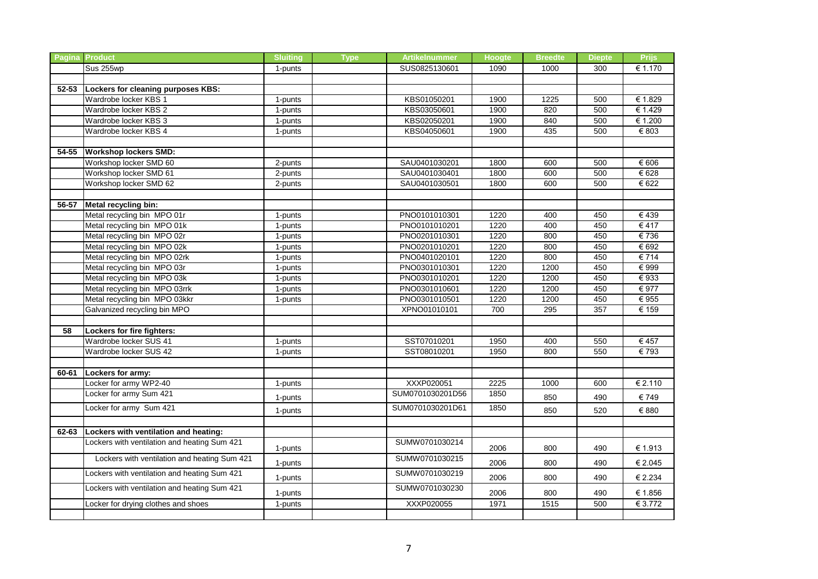|           | Pagina Product                               | <b>Sluiting</b> | <b>Type</b> | <b>Artikelnummer</b> | <b>Hoogte</b> | <b>Breedte</b> | <b>Diepte</b> | <b>Prijs</b>              |
|-----------|----------------------------------------------|-----------------|-------------|----------------------|---------------|----------------|---------------|---------------------------|
|           | Sus 255wp                                    | 1-punts         |             | SUS0825130601        | 1090          | 1000           | 300           | € 1.170                   |
|           |                                              |                 |             |                      |               |                |               |                           |
| $52 - 53$ | Lockers for cleaning purposes KBS:           |                 |             |                      |               |                |               |                           |
|           | Wardrobe locker KBS 1                        | 1-punts         |             | KBS01050201          | 1900          | 1225           | 500           | € 1.829                   |
|           | Wardrobe locker KBS 2                        | 1-punts         |             | KBS03050601          | 1900          | 820            | 500           | € 1.429                   |
|           | Wardrobe locker KBS 3                        | 1-punts         |             | KBS02050201          | 1900          | 840            | 500           | € 1.200                   |
|           | Wardrobe locker KBS 4                        | 1-punts         |             | KBS04050601          | 1900          | 435            | 500           | $\overline{\epsilon}$ 803 |
|           |                                              |                 |             |                      |               |                |               |                           |
| 54-55     | <b>Workshop lockers SMD:</b>                 |                 |             |                      |               |                |               |                           |
|           | Workshop locker SMD 60                       | 2-punts         |             | SAU0401030201        | 1800          | 600            | 500           | $\overline{\epsilon}$ 606 |
|           | Workshop locker SMD 61                       | 2-punts         |             | SAU0401030401        | 1800          | 600            | 500           | € 628                     |
|           | Workshop locker SMD 62                       | 2-punts         |             | SAU0401030501        | 1800          | 600            | 500           | € 622                     |
|           |                                              |                 |             |                      |               |                |               |                           |
| $56 - 57$ | Metal recycling bin:                         |                 |             |                      |               |                |               |                           |
|           | Metal recycling bin MPO 01r                  | 1-punts         |             | PNO0101010301        | 1220          | 400            | 450           | €439                      |
|           | Metal recycling bin MPO 01k                  | 1-punts         |             | PNO0101010201        | 1220          | 400            | 450           | € 417                     |
|           | Metal recycling bin MPO 02r                  | 1-punts         |             | PNO0201010301        | 1220          | 800            | 450           | €736                      |
|           | Metal recycling bin MPO 02k                  | 1-punts         |             | PNO0201010201        | 1220          | 800            | 450           | € 692                     |
|           | Metal recycling bin MPO 02rk                 | 1-punts         |             | PNO0401020101        | 1220          | 800            | 450           | € 714                     |
|           | Metal recycling bin MPO 03r                  | 1-punts         |             | PNO0301010301        | 1220          | 1200           | 450           | $\overline{\epsilon}$ 999 |
|           | Metal recycling bin MPO 03k                  | 1-punts         |             | PNO0301010201        | 1220          | 1200           | 450           | $\overline{\epsilon}$ 933 |
|           | Metal recycling bin MPO 03rrk                | 1-punts         |             | PNO0301010601        | 1220          | 1200           | 450           | € 977                     |
|           | Metal recycling bin MPO 03kkr                | 1-punts         |             | PNO0301010501        | 1220          | 1200           | 450           | $\overline{\epsilon}$ 955 |
|           | Galvanized recycling bin MPO                 |                 |             | XPNO01010101         | 700           | 295            | 357           | € 159                     |
|           |                                              |                 |             |                      |               |                |               |                           |
| 58        | Lockers for fire fighters:                   |                 |             |                      |               |                |               |                           |
|           | Wardrobe locker SUS 41                       | 1-punts         |             | SST07010201          | 1950          | 400            | 550           | € 457                     |
|           | Wardrobe locker SUS 42                       | 1-punts         |             | SST08010201          | 1950          | 800            | 550           | € 793                     |
|           |                                              |                 |             |                      |               |                |               |                           |
| 60-61     | Lockers for army:                            |                 |             |                      |               |                |               |                           |
|           | Locker for army WP2-40                       | 1-punts         |             | XXXP020051           | 2225          | 1000           | 600           | € 2.110                   |
|           | Locker for army Sum 421                      | 1-punts         |             | SUM0701030201D56     | 1850          | 850            | 490           | €749                      |
|           | Locker for army Sum 421                      | 1-punts         |             | SUM0701030201D61     | 1850          | 850            | 520           | € 880                     |
|           |                                              |                 |             |                      |               |                |               |                           |
| 62-63     | Lockers with ventilation and heating:        |                 |             |                      |               |                |               |                           |
|           | Lockers with ventilation and heating Sum 421 | 1-punts         |             | SUMW0701030214       | 2006          | 800            | 490           | € 1.913                   |
|           | Lockers with ventilation and heating Sum 421 | 1-punts         |             | SUMW0701030215       | 2006          | 800            | 490           | € 2.045                   |
|           | Lockers with ventilation and heating Sum 421 | 1-punts         |             | SUMW0701030219       | 2006          | 800            | 490           | € 2.234                   |
|           | Lockers with ventilation and heating Sum 421 | 1-punts         |             | SUMW0701030230       | 2006          | 800            | 490           | € 1.856                   |
|           | Locker for drying clothes and shoes          | 1-punts         |             | XXXP020055           | 1971          | 1515           | 500           | € 3.772                   |
|           |                                              |                 |             |                      |               |                |               |                           |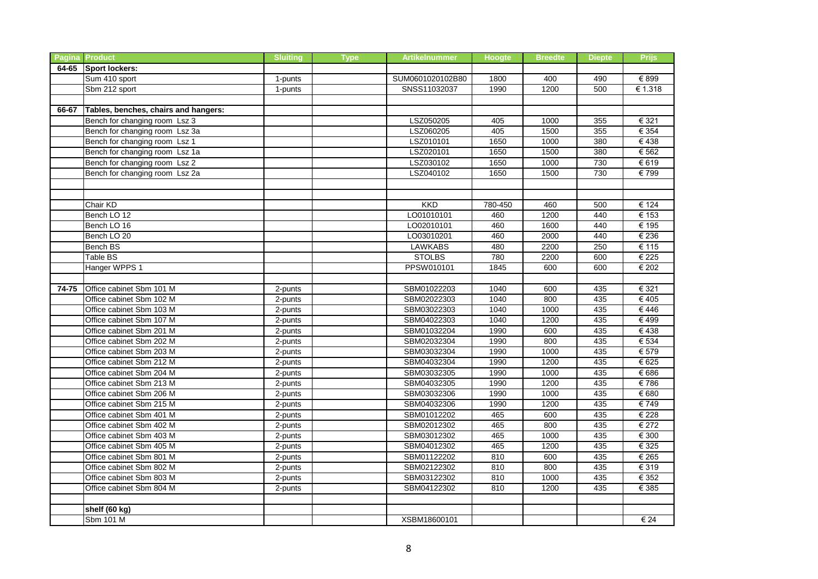|       | <b>Pagina Product</b>                | <b>Sluiting</b> | <b>Type</b> | <b>Artikelnummer</b> | Hoogte  | <b>Breedte</b> | <b>Diepte</b> | <b>Prijs</b> |
|-------|--------------------------------------|-----------------|-------------|----------------------|---------|----------------|---------------|--------------|
|       | 64-65 Sport lockers:                 |                 |             |                      |         |                |               |              |
|       | Sum 410 sport                        | 1-punts         |             | SUM0601020102B80     | 1800    | 400            | 490           | € 899        |
|       | Sbm 212 sport                        | 1-punts         |             | SNSS11032037         | 1990    | 1200           | 500           | € 1.318      |
|       |                                      |                 |             |                      |         |                |               |              |
| 66-67 | Tables, benches, chairs and hangers: |                 |             |                      |         |                |               |              |
|       | Bench for changing room Lsz 3        |                 |             | LSZ050205            | 405     | 1000           | 355           | € 321        |
|       | Bench for changing room Lsz 3a       |                 |             | LSZ060205            | 405     | 1500           | 355           | € 354        |
|       | Bench for changing room Lsz 1        |                 |             | LSZ010101            | 1650    | 1000           | 380           | €438         |
|       | Bench for changing room Lsz 1a       |                 |             | LSZ020101            | 1650    | 1500           | 380           | € 562        |
|       | Bench for changing room Lsz 2        |                 |             | LSZ030102            | 1650    | 1000           | 730           | € 619        |
|       | Bench for changing room Lsz 2a       |                 |             | LSZ040102            | 1650    | 1500           | 730           | € 799        |
|       |                                      |                 |             |                      |         |                |               |              |
|       |                                      |                 |             |                      |         |                |               |              |
|       | Chair KD                             |                 |             | <b>KKD</b>           | 780-450 | 460            | 500           | € 124        |
|       | Bench LO 12                          |                 |             | LO01010101           | 460     | 1200           | 440           | € 153        |
|       | Bench LO 16                          |                 |             | LO02010101           | 460     | 1600           | 440           | € 195        |
|       | Bench LO 20                          |                 |             | LO03010201           | 460     | 2000           | 440           | € 236        |
|       | Bench BS                             |                 |             | <b>LAWKABS</b>       | 480     | 2200           | 250           | € 115        |
|       | Table BS                             |                 |             | <b>STOLBS</b>        | 780     | 2200           | 600           | € 225        |
|       | Hanger WPPS 1                        |                 |             | PPSW010101           | 1845    | 600            | 600           | € 202        |
|       |                                      |                 |             |                      |         |                |               |              |
| 74-75 | Office cabinet Sbm 101 M             | 2-punts         |             | SBM01022203          | 1040    | 600            | 435           | € 321        |
|       | Office cabinet Sbm 102 M             | 2-punts         |             | SBM02022303          | 1040    | 800            | 435           | €405         |
|       | Office cabinet Sbm 103 M             | 2-punts         |             | SBM03022303          | 1040    | 1000           | 435           | €446         |
|       | Office cabinet Sbm 107 M             | 2-punts         |             | SBM04022303          | 1040    | 1200           | 435           | €499         |
|       | Office cabinet Sbm 201 M             | 2-punts         |             | SBM01032204          | 1990    | 600            | 435           | €438         |
|       | Office cabinet Sbm 202 M             | 2-punts         |             | SBM02032304          | 1990    | 800            | 435           | € 534        |
|       | Office cabinet Sbm 203 M             | 2-punts         |             | SBM03032304          | 1990    | 1000           | 435           | € 579        |
|       | Office cabinet Sbm 212 M             | 2-punts         |             | SBM04032304          | 1990    | 1200           | 435           | € 625        |
|       | Office cabinet Sbm 204 M             | 2-punts         |             | SBM03032305          | 1990    | 1000           | 435           | € 686        |
|       | Office cabinet Sbm 213 M             | 2-punts         |             | SBM04032305          | 1990    | 1200           | 435           | €786         |
|       | Office cabinet Sbm 206 M             | 2-punts         |             | SBM03032306          | 1990    | 1000           | 435           | € 680        |
|       | Office cabinet Sbm 215 M             | 2-punts         |             | SBM04032306          | 1990    | 1200           | 435           | € 749        |
|       | Office cabinet Sbm 401 M             | 2-punts         |             | SBM01012202          | 465     | 600            | 435           | € 228        |
|       | Office cabinet Sbm 402 M             | 2-punts         |             | SBM02012302          | 465     | 800            | 435           | € 272        |
|       | Office cabinet Sbm 403 M             | 2-punts         |             | SBM03012302          | 465     | 1000           | 435           | € 300        |
|       | Office cabinet Sbm 405 M             | 2-punts         |             | SBM04012302          | 465     | 1200           | 435           | € 325        |
|       | Office cabinet Sbm 801 M             | 2-punts         |             | SBM01122202          | 810     | 600            | 435           | € 265        |
|       | Office cabinet Sbm 802 M             | 2-punts         |             | SBM02122302          | 810     | 800            | 435           | € 319        |
|       | Office cabinet Sbm 803 M             | 2-punts         |             | SBM03122302          | 810     | 1000           | 435           | € 352        |
|       | Office cabinet Sbm 804 M             | 2-punts         |             | SBM04122302          | 810     | 1200           | 435           | € 385        |
|       |                                      |                 |             |                      |         |                |               |              |
|       | shelf (60 kg)                        |                 |             |                      |         |                |               |              |
|       | Sbm 101 M                            |                 |             | <b>XSBM18600101</b>  |         |                |               | € 24         |